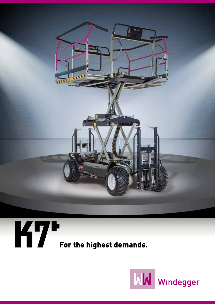



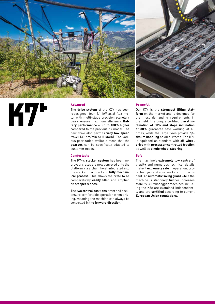

# **K7\***

## Advanced

The **drive system** of the K7+ has been redesigned: four 2.1 kW axial flux motor with multi-stage precision planetary gears ensure maximum efficiency. **Battery performance** is **up to 100% higher** compared to the previous K7 model. The new drive also permits **very low speed** travel (30 cm/min to 5 km/h). The various gear ratios available mean that the **gearbox** can be specifically adapted to customer needs.

## Comfortable

The K7+'s **stacker system** has been improved: crates are now conveyed onto the platform via a chain hoist integrated into the stacker in a direct and **fully mechanical process.** This allows the crate to be comparatively **easily** filled and emptied on **steeper slopes.**

The **two control positions** (front and back) ensure comfortable operation when driving, meaning the machine can always be controlled **in the forward direction.**

### Powerful

Our K7+ is the **strongest lifting platform** on the market and is designed for the most demanding requirements in the field. The unique certified **travel inclination of 58% and slope inclination of 30%** guarantee safe working at all times, while the large tyres provide **optimum handling** on all surfaces. The K7+ is equipped as standard with **all-wheel drive** with **processor-controlled traction** as well as **single wheel steering.**

#### Safe

The machine's **extremely low centre of gravity** and numerous technical details make it **extremely safe** in operation, protecting you and your workers from accident. An **automatic swing guard** while the machine is stationary further increases stability. All Windegger machines including the K8e are examined independently and are **certified** according to current **European Union regulations.**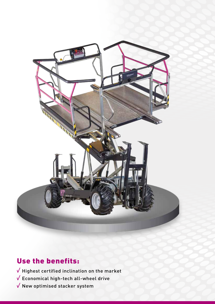

# Use the benefits:

 $\sqrt{\phantom{a}}$  Highest certified inclination on the market

 $\sqrt{\ }$  Economical high-tech all-wheel drive

 $\sqrt{\ }$  New optimised stacker system